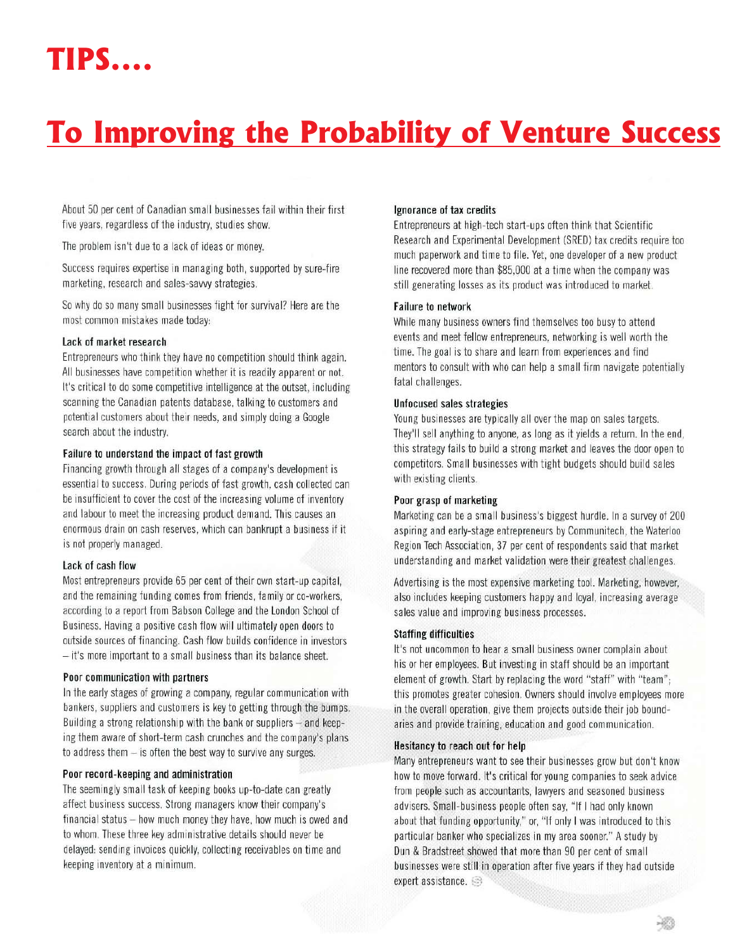# To Improving the Probability of Venture Success

About 50 per cent of Canadian small businesses fail within their first five years, regardless of the industry, studies show.

The problem isn't due to a lack of ideas or money.

Success requires expertise in managing both, supported by sure-fire marketing, research and sales-savvy strategies.

So why do so many small businesses fight for survival? Here are the most common mistakes made today:

#### Lack of market research

Entrepreneurs who think they have no competition should think again. All businesses have competition whether it is readily apparent or not. It's critical to do some competitive intelligence at the outset, including scanning the Canadian patents database, talking to customers and potential customers about their needs, and simply doing a Google search about the industry.

#### Failure to understand the impact of fast growth

Financing growth through all stages of a company's development is essential to success. During periods of fast growth, cash collected can be insufficient to cover the cost of the increasing volume of inventory and labour to meet the increasing product demand. This causes an enormous drain on cash reserves, which can bankrupt a business if it is not properly managed.

#### Lack of cash flow

Most entrepreneurs provide 65 per cent of their own start-up capital, and the remaining funding comes from friends, family or co-workers, according to a report from Babson College and the London School of Business. Having a positive cash flow will ultimately open doors to outside sources of financing. Cash flow builds confidence in investors  $-$  it's more important to a small business than its balance sheet.

#### Poor communication with partners

In the early stages of growing a company, regular communication with bankers, suppliers and customers is key to getting through the bumps. Building a strong relationship with the bank or suppliers - and keeping them aware of short-term cash crunches and the company's plans to address them - is often the best way to survive any surges.

#### Poor record-keeping and administration

The seemingly small task of keeping books up-to-date can greatly affect business success. Strong managers know their company's financial status - how much money they have, how much is owed and to whom. These three key administrative details should never be delayed: sending invoices quickly, collecting receivables on time and keeping inventory at a minimum.

### Ignorance of tax credits

Entrepreneurs at high-tech start-ups often think that Scientific Research and Experimental Development (SRED) tax credits require too much paperwork and time to file. Yet, one developer of a new product line recovered more than \$85,000 at a time when the company was still generating losses as its product was introduced to market.

#### **Failure to network**

While many business owners find themselves too busy to attend events and meet fellow entrepreneurs, networking is well worth the time. The goal is to share and learn from experiences and find mentors to consult with who can help a small firm navigate potentially fatal challenges.

# **Unfocused sales strategies**

Young businesses are typically all over the map on sales targets. They'll sell anything to anyone, as long as it yields a return. In the end, this strategy fails to build a strong market and leaves the door open to competitors. Small businesses with tight budgets should build sales with existing clients.

#### Poor grasp of marketing

Marketing can be a small business's biggest hurdle. In a survey of 200 aspiring and early-stage entrepreneurs by Communitech, the Waterloo Region Tech Association, 37 per cent of respondents said that market understanding and market validation were their greatest challenges.

Advertising is the most expensive marketing tool. Marketing, however, also includes keeping customers happy and loyal, increasing average sales value and improving business processes.

#### **Staffing difficulties**

It's not uncommon to hear a small business owner complain about his or her employees. But investing in staff should be an important element of growth. Start by replacing the word "staff" with "team"; this promotes greater cohesion. Owners should involve employees more in the overall operation, give them projects outside their job boundaries and provide training, education and good communication.

# Hesitancy to reach out for help

Many entrepreneurs want to see their businesses grow but don't know how to move forward. It's critical for young companies to seek advice from people such as accountants, lawyers and seasoned business advisers. Small-business people often say, "If I had only known about that funding opportunity," or, "If only I was introduced to this particular banker who specializes in my area sooner." A study by Dun & Bradstreet showed that more than 90 per cent of small businesses were still in operation after five years if they had outside expert assistance.